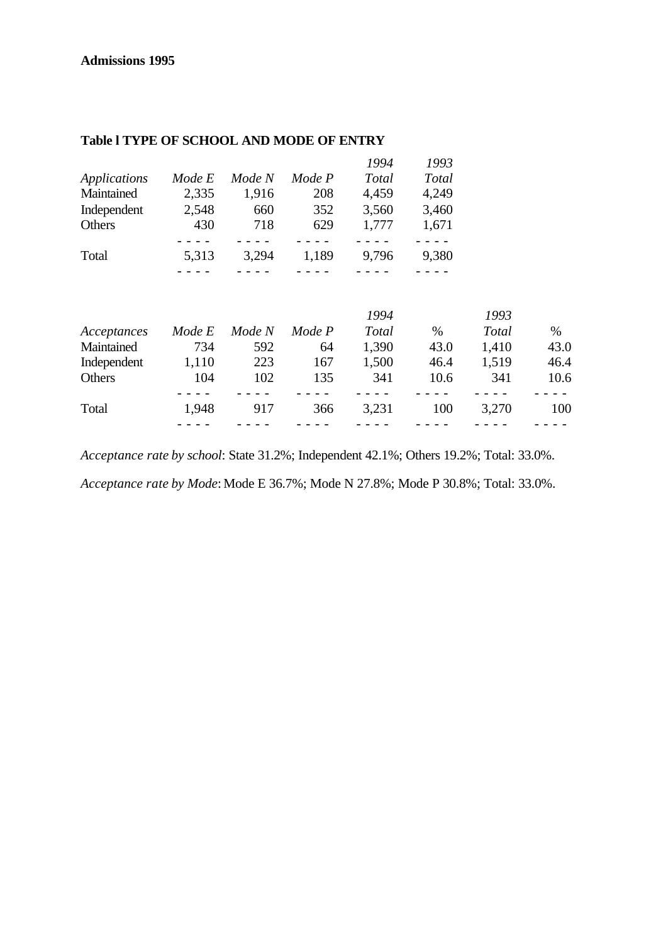### **Admissions 1995**

|              |        |        |        | 1994  | 1993  |
|--------------|--------|--------|--------|-------|-------|
| Applications | Mode E | Mode N | Mode P | Total | Total |
| Maintained   | 2,335  | 1,916  | 208    | 4,459 | 4,249 |
| Independent  | 2,548  | 660    | 352    | 3,560 | 3,460 |
| Others       | 430    | 718    | 629    | 1,777 | 1,671 |
|              |        |        |        |       |       |
| Total        | 5,313  | 3,294  | 1,189  | 9,796 | 9,380 |
|              |        |        |        |       |       |

#### **Table l TYPE OF SCHOOL AND MODE OF ENTRY**

|             |        |        |        | 1994  |      | 1993  |      |
|-------------|--------|--------|--------|-------|------|-------|------|
| Acceptances | Mode E | Mode N | Mode P | Total | $\%$ | Total | $\%$ |
| Maintained  | 734    | 592    | 64     | 1,390 | 43.0 | 1,410 | 43.0 |
| Independent | 1,110  | 223    | 167    | 1,500 | 46.4 | 1,519 | 46.4 |
| Others      | 104    | 102    | 135    | 341   | 10.6 | 341   | 10.6 |
|             |        |        |        |       |      |       |      |
| Total       | 1,948  | 917    | 366    | 3,231 | 100  | 3,270 | 100  |
|             |        |        |        |       |      |       |      |

*Acceptance rate by school*: State 31.2%; Independent 42.1%; Others 19.2%; Total: 33.0%.

*Acceptance rate by Mode*: Mode E 36.7%; Mode N 27.8%; Mode P 30.8%; Total: 33.0%.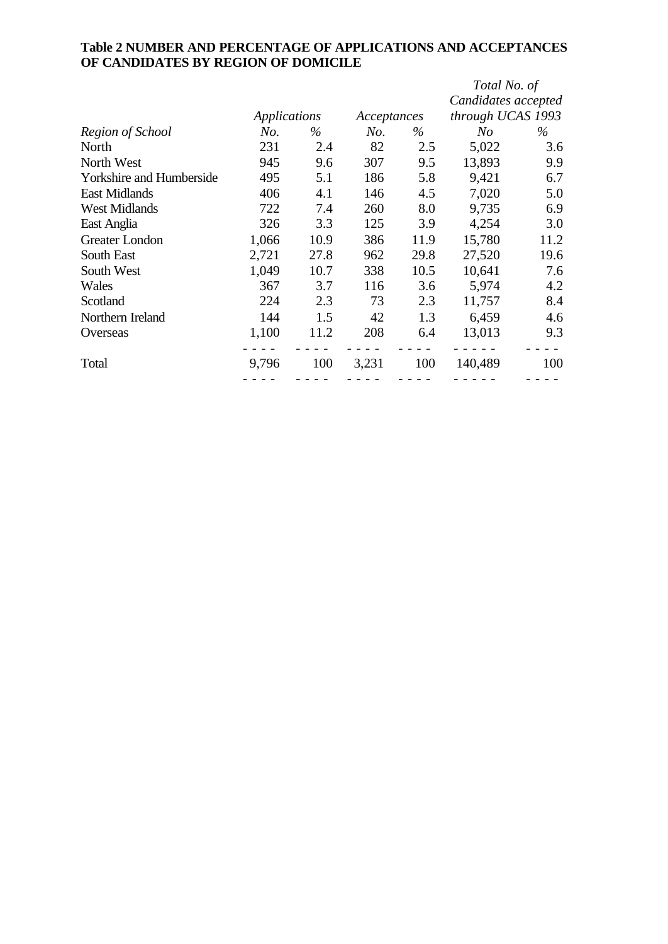# **Table 2 NUMBER AND PERCENTAGE OF APPLICATIONS AND ACCEPTANCES OF CANDIDATES BY REGION OF DOMICILE**

|                                 |                     |      |             |      | Total No. of        |      |
|---------------------------------|---------------------|------|-------------|------|---------------------|------|
|                                 |                     |      |             |      | Candidates accepted |      |
|                                 | <b>Applications</b> |      | Acceptances |      | through UCAS 1993   |      |
| Region of School                | No.                 | $\%$ | No.         | $\%$ | N <sub>O</sub>      | $\%$ |
| North                           | 231                 | 2.4  | 82          | 2.5  | 5,022               | 3.6  |
| North West                      | 945                 | 9.6  | 307         | 9.5  | 13,893              | 9.9  |
| <b>Yorkshire and Humberside</b> | 495                 | 5.1  | 186         | 5.8  | 9,421               | 6.7  |
| <b>East Midlands</b>            | 406                 | 4.1  | 146         | 4.5  | 7,020               | 5.0  |
| <b>West Midlands</b>            | 722                 | 7.4  | 260         | 8.0  | 9,735               | 6.9  |
| East Anglia                     | 326                 | 3.3  | 125         | 3.9  | 4,254               | 3.0  |
| Greater London                  | 1,066               | 10.9 | 386         | 11.9 | 15,780              | 11.2 |
| South East                      | 2,721               | 27.8 | 962         | 29.8 | 27,520              | 19.6 |
| South West                      | 1,049               | 10.7 | 338         | 10.5 | 10,641              | 7.6  |
| Wales                           | 367                 | 3.7  | 116         | 3.6  | 5,974               | 4.2  |
| Scotland                        | 224                 | 2.3  | 73          | 2.3  | 11,757              | 8.4  |
| Northern Ireland                | 144                 | 1.5  | 42          | 1.3  | 6,459               | 4.6  |
| Overseas                        | 1,100               | 11.2 | 208         | 6.4  | 13,013              | 9.3  |
| Total                           | 9,796               | 100  | 3,231       | 100  | 140,489             | 100  |
|                                 |                     |      |             |      |                     |      |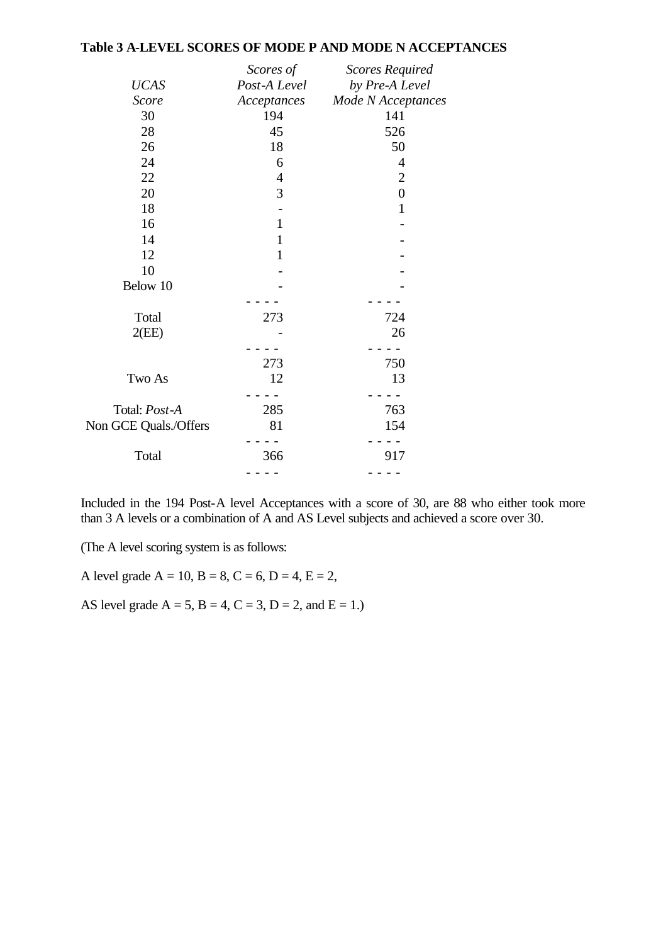#### **Table 3 A-LEVEL SCORES OF MODE P AND MODE N ACCEPTANCES**

|                       | Scores of      | <b>Scores Required</b>    |
|-----------------------|----------------|---------------------------|
| <b>UCAS</b>           | Post-A Level   | by Pre-A Level            |
| <b>Score</b>          | Acceptances    | <b>Mode N</b> Acceptances |
| 30                    | 194            | 141                       |
| 28                    | 45             | 526                       |
| 26                    | 18             | 50                        |
| 24                    | 6              | 4                         |
| 22                    | $\overline{4}$ | $\mathbf{2}$              |
| 20                    | 3              | $\boldsymbol{0}$          |
| 18                    |                | $\mathbf{1}$              |
| 16                    | $\mathbf{1}$   |                           |
| 14                    | $\mathbf{1}$   |                           |
| 12                    | $\mathbf{1}$   |                           |
| 10                    |                |                           |
| Below 10              |                |                           |
|                       |                |                           |
| Total                 | 273            | 724                       |
| 2(EE)                 |                | 26                        |
|                       |                |                           |
|                       | 273            | 750                       |
| Two As                | 12             | 13                        |
|                       |                |                           |
| Total: Post-A         | 285            | 763                       |
| Non GCE Quals./Offers | 81             | 154                       |
|                       |                |                           |
| Total                 | 366            | 917                       |
|                       |                |                           |

Included in the 194 Post-A level Acceptances with a score of 30, are 88 who either took more than 3 A levels or a combination of A and AS Level subjects and achieved a score over 30.

(The A level scoring system is as follows:

A level grade  $A = 10$ ,  $B = 8$ ,  $C = 6$ ,  $D = 4$ ,  $E = 2$ ,

AS level grade  $A = 5$ ,  $B = 4$ ,  $C = 3$ ,  $D = 2$ , and  $E = 1$ .)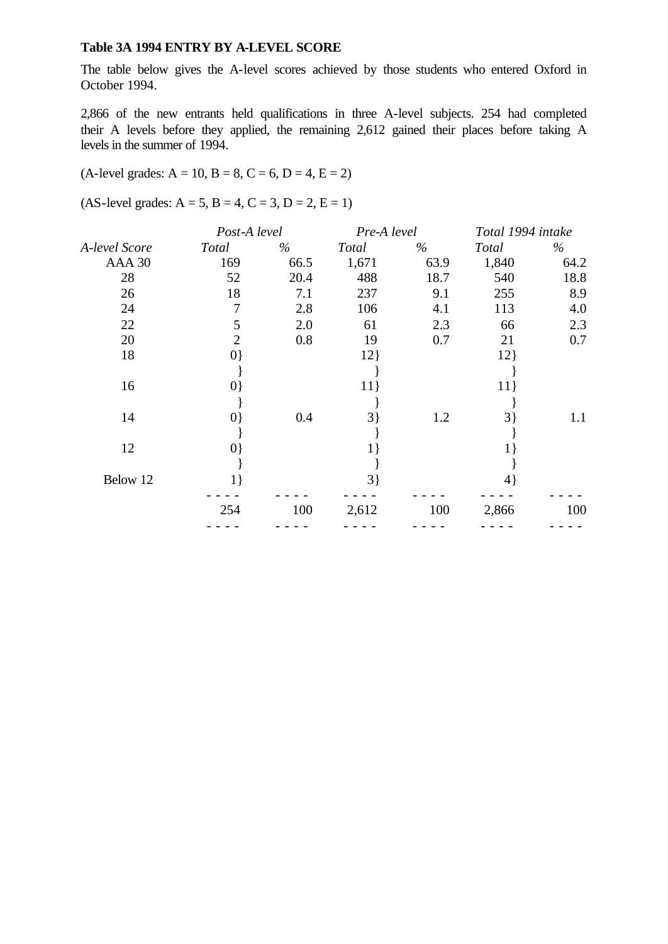#### **Table 3A 1994 ENTRY BY A-LEVEL SCORE**

The table below gives the A-level scores achieved by those students who entered Oxford in October 1994.

2,866 of the new entrants held qualifications in three A-level subjects. 254 had completed their A levels before they applied, the remaining 2,612 gained their places before taking A levels in the summer of 1994.

#### $(A$ -level grades:  $A = 10$ ,  $B = 8$ ,  $C = 6$ ,  $D = 4$ ,  $E = 2$ )

 $(AS-level grades: A = 5, B = 4, C = 3, D = 2, E = 1)$ 

|               | Post-A level |      | Pre-A level |      | Total 1994 intake |      |
|---------------|--------------|------|-------------|------|-------------------|------|
| A-level Score | Total        | $\%$ | Total       | $\%$ | Total             | $\%$ |
| AAA 30        | 169          | 66.5 | 1,671       | 63.9 | 1,840             | 64.2 |
| 28            | 52           | 20.4 | 488         | 18.7 | 540               | 18.8 |
| 26            | 18           | 7.1  | 237         | 9.1  | 255               | 8.9  |
| 24            | 7            | 2.8  | 106         | 4.1  | 113               | 4.0  |
| 22            | 5            | 2.0  | 61          | 2.3  | 66                | 2.3  |
| 20            | 2            | 0.8  | 19          | 0.7  | 21                | 0.7  |
| 18            | 0            |      | 12          |      | 12                |      |
|               |              |      |             |      |                   |      |
| 16            | $\{0\}$      |      | 11          |      | 11                |      |
|               |              |      |             |      |                   |      |
| 14            | $\{0\}$      | 0.4  | $3$ }       | 1.2  | 3                 | 1.1  |
|               |              |      |             |      |                   |      |
| 12            | $\{0\}$      |      |             |      |                   |      |
|               |              |      |             |      |                   |      |
| Below 12      | $1\}$        |      | $3\}$       |      | 4}                |      |
|               | 254          | 100  | 2,612       | 100  | 2,866             | 100  |
|               |              |      |             |      |                   |      |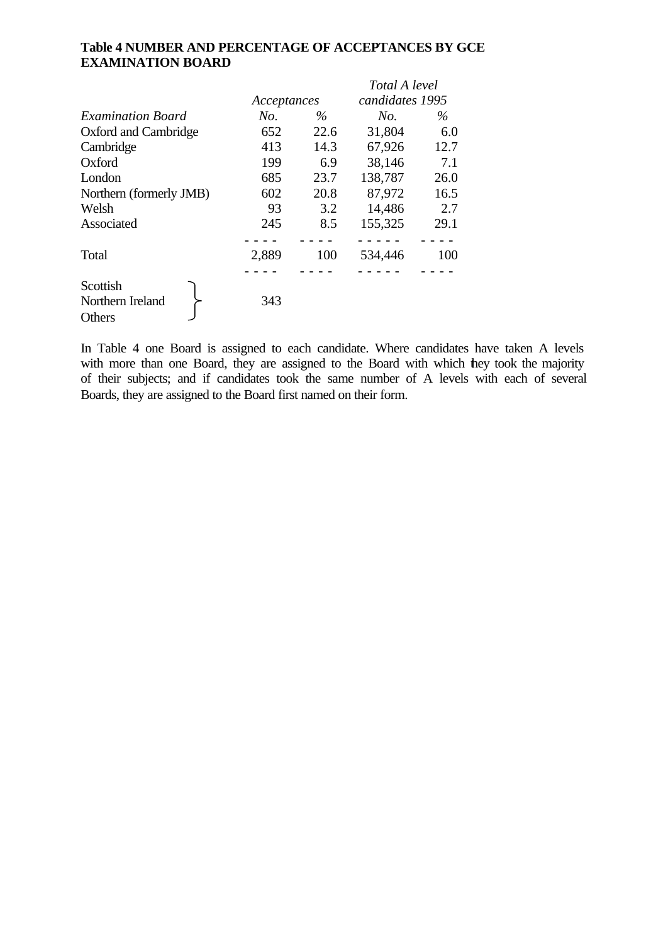## **Table 4 NUMBER AND PERCENTAGE OF ACCEPTANCES BY GCE EXAMINATION BOARD**

|                                        |             |      | Total A level   |      |  |
|----------------------------------------|-------------|------|-----------------|------|--|
|                                        | Acceptances |      | candidates 1995 |      |  |
| <b>Examination Board</b>               | No.         | $\%$ | No.             | $\%$ |  |
| Oxford and Cambridge                   | 652         | 22.6 | 31,804          | 6.0  |  |
| Cambridge                              | 413         | 14.3 | 67,926          | 12.7 |  |
| Oxford                                 | 199         | 6.9  | 38,146          | 7.1  |  |
| London                                 | 685         | 23.7 | 138,787         | 26.0 |  |
| Northern (formerly JMB)                | 602         | 20.8 | 87,972          | 16.5 |  |
| Welsh                                  | 93          | 3.2  | 14,486          | 2.7  |  |
| Associated                             | 245         | 8.5  | 155,325         | 29.1 |  |
|                                        |             |      |                 |      |  |
| Total                                  | 2,889       | 100  | 534,446         | 100  |  |
|                                        |             |      |                 |      |  |
| Scottish<br>Northern Ireland<br>Others | 343         |      |                 |      |  |

In Table 4 one Board is assigned to each candidate. Where candidates have taken A levels with more than one Board, they are assigned to the Board with which they took the majority of their subjects; and if candidates took the same number of A levels with each of several Boards, they are assigned to the Board first named on their form.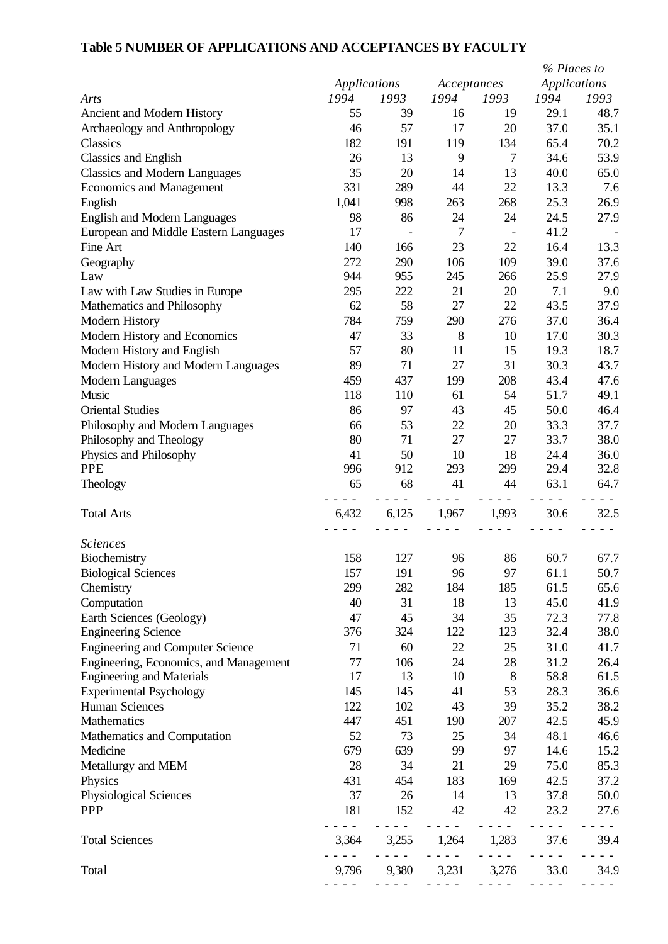# **Table 5 NUMBER OF APPLICATIONS AND ACCEPTANCES BY FACULTY**

|                                         |              |       |             |       | % Places to         |      |
|-----------------------------------------|--------------|-------|-------------|-------|---------------------|------|
|                                         | Applications |       | Acceptances |       | <b>Applications</b> |      |
| Arts                                    | 1994         | 1993  | 1994        | 1993  | 1994                | 1993 |
| Ancient and Modern History              | 55           | 39    | 16          | 19    | 29.1                | 48.7 |
| Archaeology and Anthropology            | 46           | 57    | 17          | 20    | 37.0                | 35.1 |
| Classics                                | 182          | 191   | 119         | 134   | 65.4                | 70.2 |
| Classics and English                    | 26           | 13    | 9           | 7     | 34.6                | 53.9 |
| <b>Classics and Modern Languages</b>    | 35           | 20    | 14          | 13    | 40.0                | 65.0 |
| <b>Economics and Management</b>         | 331          | 289   | 44          | 22    | 13.3                | 7.6  |
| English                                 | 1,041        | 998   | 263         | 268   | 25.3                | 26.9 |
| <b>English and Modern Languages</b>     | 98           | 86    | 24          | 24    | 24.5                | 27.9 |
| European and Middle Eastern Languages   | 17           |       | 7           |       | 41.2                |      |
| Fine Art                                | 140          | 166   | 23          | 22    | 16.4                | 13.3 |
| Geography                               | 272          | 290   | 106         | 109   | 39.0                | 37.6 |
| Law                                     | 944          | 955   | 245         | 266   | 25.9                | 27.9 |
| Law with Law Studies in Europe          | 295          | 222   | 21          | 20    | 7.1                 | 9.0  |
| Mathematics and Philosophy              | 62           | 58    | 27          | 22    | 43.5                | 37.9 |
| Modern History                          | 784          | 759   | 290         | 276   | 37.0                | 36.4 |
| Modern History and Economics            | 47           | 33    | 8           | 10    | 17.0                | 30.3 |
| Modern History and English              | 57           | 80    | 11          | 15    | 19.3                | 18.7 |
| Modern History and Modern Languages     | 89           | 71    | 27          | 31    | 30.3                | 43.7 |
| Modern Languages                        | 459          | 437   | 199         | 208   | 43.4                | 47.6 |
| Music                                   | 118          | 110   | 61          | 54    | 51.7                | 49.1 |
| <b>Oriental Studies</b>                 | 86           | 97    | 43          | 45    | 50.0                | 46.4 |
| Philosophy and Modern Languages         | 66           | 53    | 22          | 20    | 33.3                | 37.7 |
| Philosophy and Theology                 | 80           | 71    | 27          | 27    | 33.7                | 38.0 |
| Physics and Philosophy                  | 41           | 50    | 10          | 18    | 24.4                | 36.0 |
| <b>PPE</b>                              | 996          | 912   | 293         | 299   | 29.4                | 32.8 |
| Theology                                | 65           | 68    | 41          | 44    | 63.1                | 64.7 |
|                                         |              |       |             |       |                     |      |
| <b>Total Arts</b>                       | 6,432        | 6,125 | 1,967       | 1,993 | 30.6                | 32.5 |
|                                         |              |       |             |       |                     |      |
| <b>Sciences</b>                         |              |       |             |       |                     |      |
| Biochemistry                            | 158          | 127   | 96          | 86    | 60.7                | 67.7 |
| <b>Biological Sciences</b>              | 157          | 191   | 96          | 97    | 61.1                | 50.7 |
| Chemistry                               | 299          | 282   | 184         | 185   | 61.5                | 65.6 |
| Computation                             | 40           | 31    | 18          | 13    | 45.0                | 41.9 |
| Earth Sciences (Geology)                | 47           | 45    | 34          | 35    | 72.3                | 77.8 |
| <b>Engineering Science</b>              | 376          | 324   | 122         | 123   | 32.4                | 38.0 |
| <b>Engineering and Computer Science</b> | 71           | 60    | 22          | 25    | 31.0                | 41.7 |
| Engineering, Economics, and Management  | 77           | 106   | 24          | 28    | 31.2                | 26.4 |
| <b>Engineering and Materials</b>        | 17           | 13    | 10          | 8     | 58.8                | 61.5 |
| <b>Experimental Psychology</b>          | 145          | 145   | 41          | 53    | 28.3                | 36.6 |
| Human Sciences                          | 122          | 102   | 43          | 39    | 35.2                | 38.2 |
| Mathematics                             | 447          | 451   | 190         | 207   | 42.5                | 45.9 |
| Mathematics and Computation             | 52           | 73    | 25          | 34    | 48.1                | 46.6 |
| Medicine                                | 679          | 639   | 99          | 97    | 14.6                | 15.2 |
| Metallurgy and MEM                      | 28           | 34    | 21          | 29    | 75.0                | 85.3 |
| Physics                                 | 431          | 454   | 183         | 169   | 42.5                | 37.2 |
| Physiological Sciences                  | 37           | 26    | 14          | 13    | 37.8                | 50.0 |
| <b>PPP</b>                              | 181          |       |             |       | 23.2                |      |
|                                         |              | 152   | 42          | 42    |                     | 27.6 |
| <b>Total Sciences</b>                   | 3,364        | 3,255 | 1,264       | 1,283 | 37.6                | 39.4 |
|                                         |              |       |             |       |                     |      |
| Total                                   | 9,796        | 9,380 | 3,231       | 3,276 | 33.0                | 34.9 |
|                                         |              |       |             |       |                     |      |
|                                         |              |       |             |       |                     |      |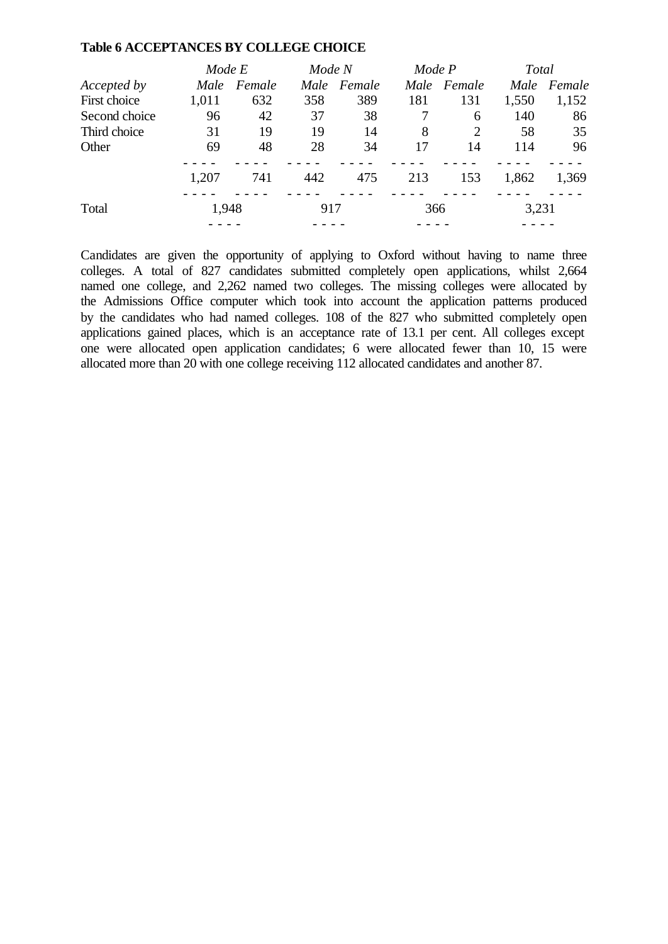#### **Table 6 ACCEPTANCES BY COLLEGE CHOICE**

|               | Mode E |        | Mode N |             | Mode P |        | Total |        |
|---------------|--------|--------|--------|-------------|--------|--------|-------|--------|
| Accepted by   | Male   | Female |        | Male Female | Male   | Female | Male  | Female |
| First choice  | 1,011  | 632    | 358    | 389         | 181    | 131    | 1,550 | 1,152  |
| Second choice | 96     | 42     | 37     | 38          |        | 6      | 140   | 86     |
| Third choice  | 31     | 19     | 19     | 14          | 8      | 2      | 58    | 35     |
| Other         | 69     | 48     | 28     | 34          | 17     | 14     | 114   | 96     |
|               | 1,207  | 741    | 442    | 475         | 213    | 153    | 1,862 | 1,369  |
| Total         | 1,948  |        | 917    |             | 366    |        | 3,231 |        |
|               |        |        |        |             |        |        |       |        |

Candidates are given the opportunity of applying to Oxford without having to name three colleges. A total of 827 candidates submitted completely open applications, whilst 2,664 named one college, and 2,262 named two colleges. The missing colleges were allocated by the Admissions Office computer which took into account the application patterns produced by the candidates who had named colleges. 108 of the 827 who submitted completely open applications gained places, which is an acceptance rate of 13.1 per cent. All colleges except one were allocated open application candidates; 6 were allocated fewer than 10, 15 were allocated more than 20 with one college receiving 112 allocated candidates and another 87.